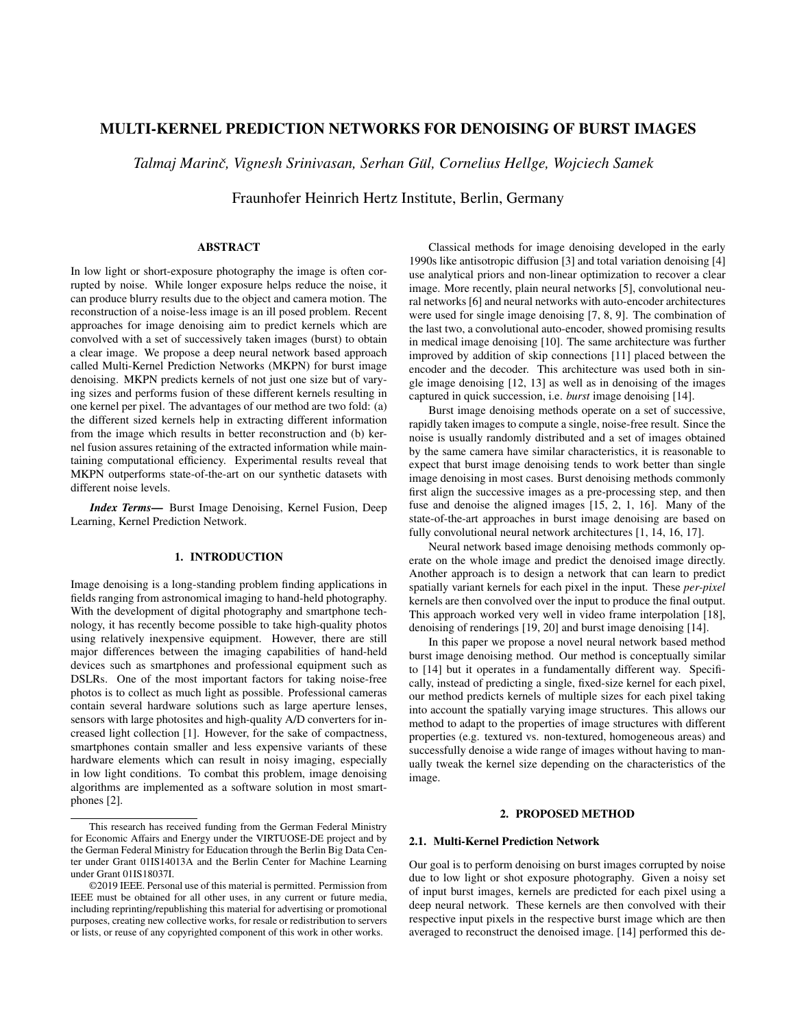# MULTI-KERNEL PREDICTION NETWORKS FOR DENOISING OF BURST IMAGES

*Talmaj Marinc, Vignesh Srinivasan, Serhan G ˇ ul, Cornelius Hellge, Wojciech Samek ¨*

Fraunhofer Heinrich Hertz Institute, Berlin, Germany

# ABSTRACT

In low light or short-exposure photography the image is often corrupted by noise. While longer exposure helps reduce the noise, it can produce blurry results due to the object and camera motion. The reconstruction of a noise-less image is an ill posed problem. Recent approaches for image denoising aim to predict kernels which are convolved with a set of successively taken images (burst) to obtain a clear image. We propose a deep neural network based approach called Multi-Kernel Prediction Networks (MKPN) for burst image denoising. MKPN predicts kernels of not just one size but of varying sizes and performs fusion of these different kernels resulting in one kernel per pixel. The advantages of our method are two fold: (a) the different sized kernels help in extracting different information from the image which results in better reconstruction and (b) kernel fusion assures retaining of the extracted information while maintaining computational efficiency. Experimental results reveal that MKPN outperforms state-of-the-art on our synthetic datasets with different noise levels.

*Index Terms*— Burst Image Denoising, Kernel Fusion, Deep Learning, Kernel Prediction Network.

# 1. INTRODUCTION

Image denoising is a long-standing problem finding applications in fields ranging from astronomical imaging to hand-held photography. With the development of digital photography and smartphone technology, it has recently become possible to take high-quality photos using relatively inexpensive equipment. However, there are still major differences between the imaging capabilities of hand-held devices such as smartphones and professional equipment such as DSLRs. One of the most important factors for taking noise-free photos is to collect as much light as possible. Professional cameras contain several hardware solutions such as large aperture lenses, sensors with large photosites and high-quality A/D converters for increased light collection [1]. However, for the sake of compactness, smartphones contain smaller and less expensive variants of these hardware elements which can result in noisy imaging, especially in low light conditions. To combat this problem, image denoising algorithms are implemented as a software solution in most smartphones [2].

Classical methods for image denoising developed in the early 1990s like antisotropic diffusion [3] and total variation denoising [4] use analytical priors and non-linear optimization to recover a clear image. More recently, plain neural networks [5], convolutional neural networks [6] and neural networks with auto-encoder architectures were used for single image denoising [7, 8, 9]. The combination of the last two, a convolutional auto-encoder, showed promising results in medical image denoising [10]. The same architecture was further improved by addition of skip connections [11] placed between the encoder and the decoder. This architecture was used both in single image denoising [12, 13] as well as in denoising of the images captured in quick succession, i.e. *burst* image denoising [14].

Burst image denoising methods operate on a set of successive, rapidly taken images to compute a single, noise-free result. Since the noise is usually randomly distributed and a set of images obtained by the same camera have similar characteristics, it is reasonable to expect that burst image denoising tends to work better than single image denoising in most cases. Burst denoising methods commonly first align the successive images as a pre-processing step, and then fuse and denoise the aligned images [15, 2, 1, 16]. Many of the state-of-the-art approaches in burst image denoising are based on fully convolutional neural network architectures [1, 14, 16, 17].

Neural network based image denoising methods commonly operate on the whole image and predict the denoised image directly. Another approach is to design a network that can learn to predict spatially variant kernels for each pixel in the input. These *per-pixel* kernels are then convolved over the input to produce the final output. This approach worked very well in video frame interpolation [18], denoising of renderings [19, 20] and burst image denoising [14].

In this paper we propose a novel neural network based method burst image denoising method. Our method is conceptually similar to [14] but it operates in a fundamentally different way. Specifically, instead of predicting a single, fixed-size kernel for each pixel, our method predicts kernels of multiple sizes for each pixel taking into account the spatially varying image structures. This allows our method to adapt to the properties of image structures with different properties (e.g. textured vs. non-textured, homogeneous areas) and successfully denoise a wide range of images without having to manually tweak the kernel size depending on the characteristics of the image.

### 2. PROPOSED METHOD

#### 2.1. Multi-Kernel Prediction Network

Our goal is to perform denoising on burst images corrupted by noise due to low light or shot exposure photography. Given a noisy set of input burst images, kernels are predicted for each pixel using a deep neural network. These kernels are then convolved with their respective input pixels in the respective burst image which are then averaged to reconstruct the denoised image. [14] performed this de-

This research has received funding from the German Federal Ministry for Economic Affairs and Energy under the VIRTUOSE-DE project and by the German Federal Ministry for Education through the Berlin Big Data Center under Grant 01IS14013A and the Berlin Center for Machine Learning under Grant 01IS18037I.

<sup>©2019</sup> IEEE. Personal use of this material is permitted. Permission from IEEE must be obtained for all other uses, in any current or future media, including reprinting/republishing this material for advertising or promotional purposes, creating new collective works, for resale or redistribution to servers or lists, or reuse of any copyrighted component of this work in other works.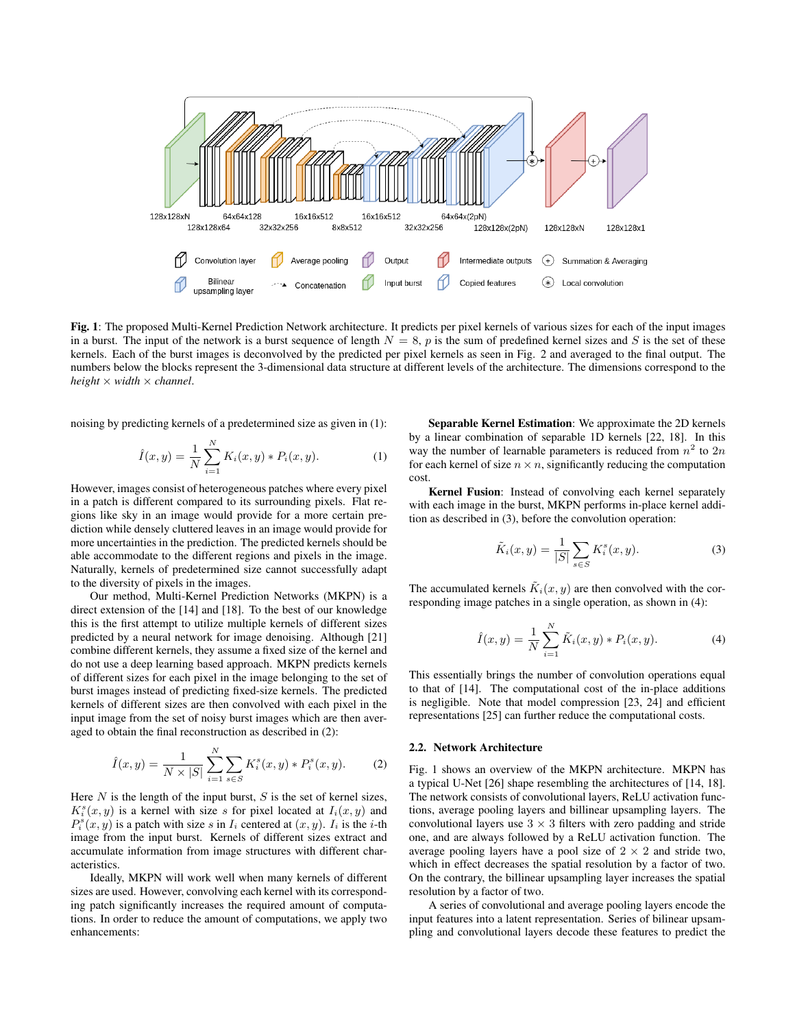

Fig. 1: The proposed Multi-Kernel Prediction Network architecture. It predicts per pixel kernels of various sizes for each of the input images in a burst. The input of the network is a burst sequence of length  $N = 8$ , p is the sum of predefined kernel sizes and S is the set of these kernels. Each of the burst images is deconvolved by the predicted per pixel kernels as seen in Fig. 2 and averaged to the final output. The numbers below the blocks represent the 3-dimensional data structure at different levels of the architecture. The dimensions correspond to the *height* × *width* × *channel*.

noising by predicting kernels of a predetermined size as given in (1):

$$
\hat{I}(x,y) = \frac{1}{N} \sum_{i=1}^{N} K_i(x,y) * P_i(x,y).
$$
 (1)

However, images consist of heterogeneous patches where every pixel in a patch is different compared to its surrounding pixels. Flat regions like sky in an image would provide for a more certain prediction while densely cluttered leaves in an image would provide for more uncertainties in the prediction. The predicted kernels should be able accommodate to the different regions and pixels in the image. Naturally, kernels of predetermined size cannot successfully adapt to the diversity of pixels in the images.

Our method, Multi-Kernel Prediction Networks (MKPN) is a direct extension of the [14] and [18]. To the best of our knowledge this is the first attempt to utilize multiple kernels of different sizes predicted by a neural network for image denoising. Although [21] combine different kernels, they assume a fixed size of the kernel and do not use a deep learning based approach. MKPN predicts kernels of different sizes for each pixel in the image belonging to the set of burst images instead of predicting fixed-size kernels. The predicted kernels of different sizes are then convolved with each pixel in the input image from the set of noisy burst images which are then averaged to obtain the final reconstruction as described in (2):

$$
\hat{I}(x,y) = \frac{1}{N \times |S|} \sum_{i=1}^{N} \sum_{s \in S} K_i^s(x,y) * P_i^s(x,y).
$$
 (2)

Here  $N$  is the length of the input burst,  $S$  is the set of kernel sizes,  $K_i^s(x, y)$  is a kernel with size s for pixel located at  $I_i(x, y)$  and  $P_i^s(x, y)$  is a patch with size s in  $I_i$  centered at  $(x, y)$ .  $I_i$  is the *i*-th image from the input burst. Kernels of different sizes extract and accumulate information from image structures with different characteristics.

Ideally, MKPN will work well when many kernels of different sizes are used. However, convolving each kernel with its corresponding patch significantly increases the required amount of computations. In order to reduce the amount of computations, we apply two enhancements:

Separable Kernel Estimation: We approximate the 2D kernels by a linear combination of separable 1D kernels [22, 18]. In this way the number of learnable parameters is reduced from  $n^2$  to  $2n$ for each kernel of size  $n \times n$ , significantly reducing the computation cost.

Kernel Fusion: Instead of convolving each kernel separately with each image in the burst, MKPN performs in-place kernel addition as described in (3), before the convolution operation:

$$
\tilde{K}_i(x, y) = \frac{1}{|S|} \sum_{s \in S} K_i^s(x, y).
$$
 (3)

The accumulated kernels  $K_i(x, y)$  are then convolved with the corresponding image patches in a single operation, as shown in (4):

$$
\hat{I}(x,y) = \frac{1}{N} \sum_{i=1}^{N} \tilde{K}_i(x,y) * P_i(x,y).
$$
 (4)

This essentially brings the number of convolution operations equal to that of [14]. The computational cost of the in-place additions is negligible. Note that model compression [23, 24] and efficient representations [25] can further reduce the computational costs.

# 2.2. Network Architecture

Fig. 1 shows an overview of the MKPN architecture. MKPN has a typical U-Net [26] shape resembling the architectures of [14, 18]. The network consists of convolutional layers, ReLU activation functions, average pooling layers and billinear upsampling layers. The convolutional layers use  $3 \times 3$  filters with zero padding and stride one, and are always followed by a ReLU activation function. The average pooling layers have a pool size of  $2 \times 2$  and stride two, which in effect decreases the spatial resolution by a factor of two. On the contrary, the billinear upsampling layer increases the spatial resolution by a factor of two.

A series of convolutional and average pooling layers encode the input features into a latent representation. Series of bilinear upsampling and convolutional layers decode these features to predict the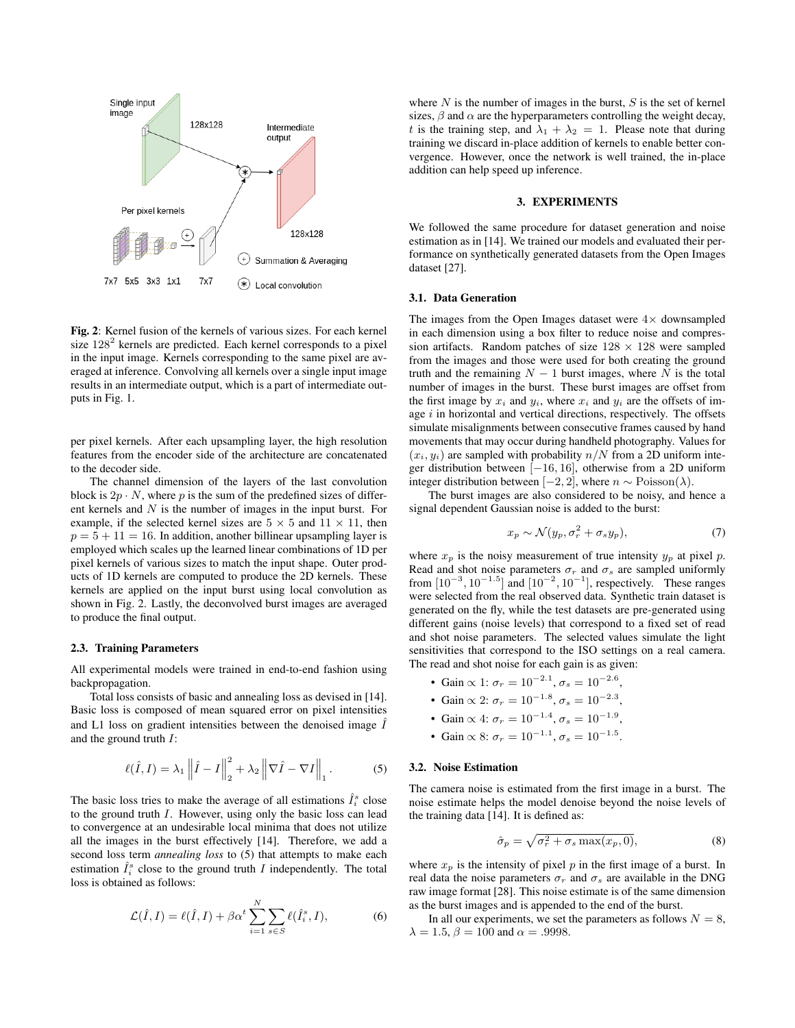

Fig. 2: Kernel fusion of the kernels of various sizes. For each kernel size  $128<sup>2</sup>$  kernels are predicted. Each kernel corresponds to a pixel in the input image. Kernels corresponding to the same pixel are averaged at inference. Convolving all kernels over a single input image results in an intermediate output, which is a part of intermediate outputs in Fig. 1.

per pixel kernels. After each upsampling layer, the high resolution features from the encoder side of the architecture are concatenated to the decoder side.

The channel dimension of the layers of the last convolution block is  $2p \cdot N$ , where p is the sum of the predefined sizes of different kernels and N is the number of images in the input burst. For example, if the selected kernel sizes are  $5 \times 5$  and  $11 \times 11$ , then  $p = 5 + 11 = 16$ . In addition, another billinear upsampling layer is employed which scales up the learned linear combinations of 1D per pixel kernels of various sizes to match the input shape. Outer products of 1D kernels are computed to produce the 2D kernels. These kernels are applied on the input burst using local convolution as shown in Fig. 2. Lastly, the deconvolved burst images are averaged to produce the final output.

### 2.3. Training Parameters

All experimental models were trained in end-to-end fashion using backpropagation.

Total loss consists of basic and annealing loss as devised in [14]. Basic loss is composed of mean squared error on pixel intensities and L1 loss on gradient intensities between the denoised image  $I$ and the ground truth  $I$ :

$$
\ell(\hat{I}, I) = \lambda_1 \left\| \hat{I} - I \right\|_2^2 + \lambda_2 \left\| \nabla \hat{I} - \nabla I \right\|_1.
$$
 (5)

The basic loss tries to make the average of all estimations  $\hat{I}_i^s$  close to the ground truth  $I$ . However, using only the basic loss can lead to convergence at an undesirable local minima that does not utilize all the images in the burst effectively [14]. Therefore, we add a second loss term *annealing loss* to (5) that attempts to make each estimation  $\hat{I}_i^s$  close to the ground truth I independently. The total loss is obtained as follows:

$$
\mathcal{L}(\hat{I}, I) = \ell(\hat{I}, I) + \beta \alpha^t \sum_{i=1}^N \sum_{s \in S} \ell(\hat{I}_i^s, I), \tag{6}
$$

where  $N$  is the number of images in the burst,  $S$  is the set of kernel sizes,  $\beta$  and  $\alpha$  are the hyperparameters controlling the weight decay, t is the training step, and  $\lambda_1 + \lambda_2 = 1$ . Please note that during training we discard in-place addition of kernels to enable better convergence. However, once the network is well trained, the in-place addition can help speed up inference.

#### 3. EXPERIMENTS

We followed the same procedure for dataset generation and noise estimation as in [14]. We trained our models and evaluated their performance on synthetically generated datasets from the Open Images dataset [27].

## 3.1. Data Generation

The images from the Open Images dataset were  $4\times$  downsampled in each dimension using a box filter to reduce noise and compression artifacts. Random patches of size  $128 \times 128$  were sampled from the images and those were used for both creating the ground truth and the remaining  $N - 1$  burst images, where N is the total number of images in the burst. These burst images are offset from the first image by  $x_i$  and  $y_i$ , where  $x_i$  and  $y_i$  are the offsets of image  $i$  in horizontal and vertical directions, respectively. The offsets simulate misalignments between consecutive frames caused by hand movements that may occur during handheld photography. Values for  $(x_i, y_i)$  are sampled with probability  $n/N$  from a 2D uniform integer distribution between [−16, 16], otherwise from a 2D uniform integer distribution between [−2, 2], where n ∼ Poisson(λ).

The burst images are also considered to be noisy, and hence a signal dependent Gaussian noise is added to the burst:

$$
x_p \sim \mathcal{N}(y_p, \sigma_r^2 + \sigma_s y_p),\tag{7}
$$

where  $x_p$  is the noisy measurement of true intensity  $y_p$  at pixel p. Read and shot noise parameters  $\sigma_r$  and  $\sigma_s$  are sampled uniformly from  $[10^{-3}, 10^{-1.5}]$  and  $[10^{-2}, 10^{-1}]$ , respectively. These ranges were selected from the real observed data. Synthetic train dataset is generated on the fly, while the test datasets are pre-generated using different gains (noise levels) that correspond to a fixed set of read and shot noise parameters. The selected values simulate the light sensitivities that correspond to the ISO settings on a real camera. The read and shot noise for each gain is as given:

- Gain  $\propto 1$ :  $\sigma_r = 10^{-2.1}, \sigma_s = 10^{-2.6}$ ,
- Gain  $\propto 2$ :  $\sigma_r = 10^{-1.8}, \sigma_s = 10^{-2.3}$ ,
- Gain  $\propto 4$ :  $\sigma_r = 10^{-1.4}, \sigma_s = 10^{-1.9},$
- Gain  $\propto 8$ :  $\sigma_r = 10^{-1.1}, \sigma_s = 10^{-1.5}$ .

#### 3.2. Noise Estimation

The camera noise is estimated from the first image in a burst. The noise estimate helps the model denoise beyond the noise levels of the training data [14]. It is defined as:

$$
\hat{\sigma}_p = \sqrt{\sigma_r^2 + \sigma_s \max(x_p, 0)},\tag{8}
$$

where  $x_p$  is the intensity of pixel p in the first image of a burst. In real data the noise parameters  $\sigma_r$  and  $\sigma_s$  are available in the DNG raw image format [28]. This noise estimate is of the same dimension as the burst images and is appended to the end of the burst.

In all our experiments, we set the parameters as follows  $N = 8$ ,  $\lambda = 1.5$ ,  $\beta = 100$  and  $\alpha = .9998$ .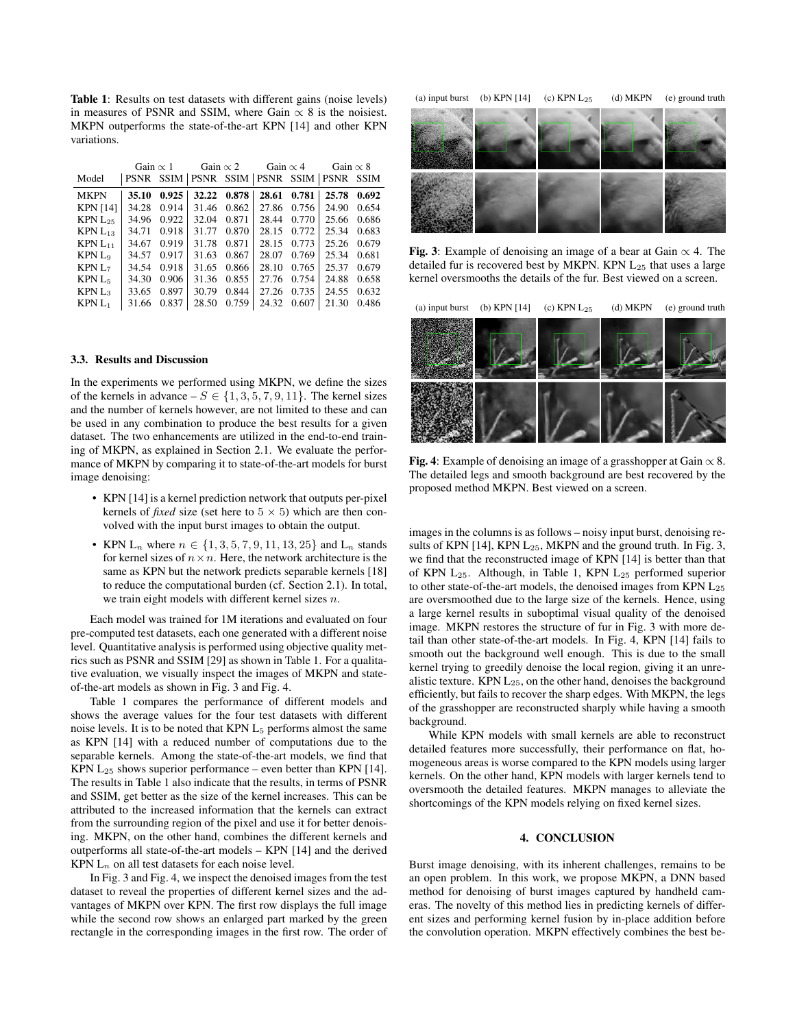Table 1: Results on test datasets with different gains (noise levels) in measures of PSNR and SSIM, where Gain  $\propto$  8 is the noisiest. MKPN outperforms the state-of-the-art KPN [14] and other KPN variations.

|                 | Gain $\propto$ 1 |       | Gain $\propto$ 2                        |       | Gain $\propto$ 4 |       | Gain $\propto$ 8 |       |
|-----------------|------------------|-------|-----------------------------------------|-------|------------------|-------|------------------|-------|
| Model           |                  |       | PSNR SSIM PSNR SSIM PSNR SSIM PSNR SSIM |       |                  |       |                  |       |
| <b>MKPN</b>     | 35.10            | 0.925 | 32.22                                   | 0.878 | 28.61            | 0.781 | 25.78            | 0.692 |
| <b>KPN</b> [14] | 34.28            | 0.914 | 31.46                                   | 0.862 | 27.86            | 0.756 | 24.90            | 0.654 |
| $KPN L_{25}$    | 34.96            | 0.922 | 32.04                                   | 0.871 | 28.44            | 0.770 | 25.66            | 0.686 |
| $KPN L_{13}$    | 34 71            | 0.918 | 31.77                                   | 0.870 | 28.15            | 0.772 | 25.34            | 0.683 |
| $KPN L_{11}$    | 34.67            | 0.919 | 31.78                                   | 0.871 | 28.15            | 0.773 | 25.26            | 0.679 |
| $KPN L_9$       | 34.57            | 0.917 | 31.63                                   | 0.867 | 28.07            | 0.769 | 25.34            | 0.681 |
| $KPN L_7$       | 34.54            | 0.918 | 31.65                                   | 0.866 | 28.10            | 0.765 | 25.37            | 0.679 |
| $KPNL_5$        | 34.30            | 0.906 | 31.36                                   | 0.855 | 27.76            | 0.754 | 24.88            | 0.658 |
| $KPN L_3$       | 33.65            | 0.897 | 30.79                                   | 0.844 | 27.26            | 0.735 | 24.55            | 0.632 |
| $KPNL_1$        | 31.66            | 0.837 | 28.50                                   | 0.759 | 24.32            | 0.607 | 21.30            | 0.486 |

#### 3.3. Results and Discussion

In the experiments we performed using MKPN, we define the sizes of the kernels in advance –  $S \in \{1, 3, 5, 7, 9, 11\}$ . The kernel sizes and the number of kernels however, are not limited to these and can be used in any combination to produce the best results for a given dataset. The two enhancements are utilized in the end-to-end training of MKPN, as explained in Section 2.1. We evaluate the performance of MKPN by comparing it to state-of-the-art models for burst image denoising:

- KPN [14] is a kernel prediction network that outputs per-pixel kernels of *fixed* size (set here to  $5 \times 5$ ) which are then convolved with the input burst images to obtain the output.
- KPN  $L_n$  where  $n \in \{1, 3, 5, 7, 9, 11, 13, 25\}$  and  $L_n$  stands for kernel sizes of  $n \times n$ . Here, the network architecture is the same as KPN but the network predicts separable kernels [18] to reduce the computational burden (cf. Section 2.1). In total, we train eight models with different kernel sizes  $n$ .

Each model was trained for 1M iterations and evaluated on four pre-computed test datasets, each one generated with a different noise level. Quantitative analysis is performed using objective quality metrics such as PSNR and SSIM [29] as shown in Table 1. For a qualitative evaluation, we visually inspect the images of MKPN and stateof-the-art models as shown in Fig. 3 and Fig. 4.

Table 1 compares the performance of different models and shows the average values for the four test datasets with different noise levels. It is to be noted that KPN L<sub>5</sub> performs almost the same as KPN [14] with a reduced number of computations due to the separable kernels. Among the state-of-the-art models, we find that KPN  $L_{25}$  shows superior performance – even better than KPN [14]. The results in Table 1 also indicate that the results, in terms of PSNR and SSIM, get better as the size of the kernel increases. This can be attributed to the increased information that the kernels can extract from the surrounding region of the pixel and use it for better denoising. MKPN, on the other hand, combines the different kernels and outperforms all state-of-the-art models – KPN [14] and the derived  $KPN L_n$  on all test datasets for each noise level.

In Fig. 3 and Fig. 4, we inspect the denoised images from the test dataset to reveal the properties of different kernel sizes and the advantages of MKPN over KPN. The first row displays the full image while the second row shows an enlarged part marked by the green rectangle in the corresponding images in the first row. The order of (a) input burst (b) KPN  $[14]$  (c) KPN  $L_{25}$  (d) MKPN (e) ground truth



Fig. 3: Example of denoising an image of a bear at Gain  $\propto$  4. The detailed fur is recovered best by MKPN. KPN L<sub>25</sub> that uses a large kernel oversmooths the details of the fur. Best viewed on a screen.



Fig. 4: Example of denoising an image of a grasshopper at Gain  $\propto$  8. The detailed legs and smooth background are best recovered by the proposed method MKPN. Best viewed on a screen.

images in the columns is as follows – noisy input burst, denoising results of KPN [14], KPN  $L_{25}$ , MKPN and the ground truth. In Fig. 3, we find that the reconstructed image of KPN [14] is better than that of KPN L25. Although, in Table 1, KPN L<sup>25</sup> performed superior to other state-of-the-art models, the denoised images from KPN L<sup>25</sup> are oversmoothed due to the large size of the kernels. Hence, using a large kernel results in suboptimal visual quality of the denoised image. MKPN restores the structure of fur in Fig. 3 with more detail than other state-of-the-art models. In Fig. 4, KPN [14] fails to smooth out the background well enough. This is due to the small kernel trying to greedily denoise the local region, giving it an unrealistic texture. KPN  $L_{25}$ , on the other hand, denoises the background efficiently, but fails to recover the sharp edges. With MKPN, the legs of the grasshopper are reconstructed sharply while having a smooth background.

While KPN models with small kernels are able to reconstruct detailed features more successfully, their performance on flat, homogeneous areas is worse compared to the KPN models using larger kernels. On the other hand, KPN models with larger kernels tend to oversmooth the detailed features. MKPN manages to alleviate the shortcomings of the KPN models relying on fixed kernel sizes.

#### 4. CONCLUSION

Burst image denoising, with its inherent challenges, remains to be an open problem. In this work, we propose MKPN, a DNN based method for denoising of burst images captured by handheld cameras. The novelty of this method lies in predicting kernels of different sizes and performing kernel fusion by in-place addition before the convolution operation. MKPN effectively combines the best be